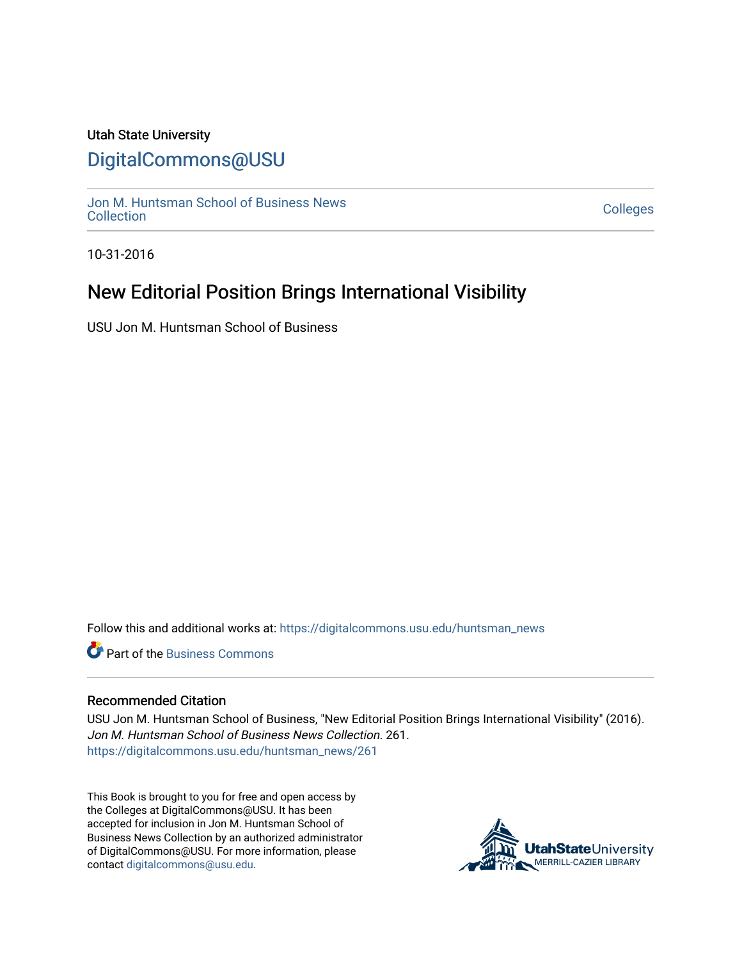#### Utah State University

### [DigitalCommons@USU](https://digitalcommons.usu.edu/)

[Jon M. Huntsman School of Business News](https://digitalcommons.usu.edu/huntsman_news)  Soft M. Huntsman School of Business News<br>[Collection](https://digitalcommons.usu.edu/huntsman_news) Colleges

10-31-2016

## New Editorial Position Brings International Visibility

USU Jon M. Huntsman School of Business

Follow this and additional works at: [https://digitalcommons.usu.edu/huntsman\\_news](https://digitalcommons.usu.edu/huntsman_news?utm_source=digitalcommons.usu.edu%2Fhuntsman_news%2F261&utm_medium=PDF&utm_campaign=PDFCoverPages) 

**C** Part of the [Business Commons](http://network.bepress.com/hgg/discipline/622?utm_source=digitalcommons.usu.edu%2Fhuntsman_news%2F261&utm_medium=PDF&utm_campaign=PDFCoverPages)

#### Recommended Citation

USU Jon M. Huntsman School of Business, "New Editorial Position Brings International Visibility" (2016). Jon M. Huntsman School of Business News Collection. 261. [https://digitalcommons.usu.edu/huntsman\\_news/261](https://digitalcommons.usu.edu/huntsman_news/261?utm_source=digitalcommons.usu.edu%2Fhuntsman_news%2F261&utm_medium=PDF&utm_campaign=PDFCoverPages) 

This Book is brought to you for free and open access by the Colleges at DigitalCommons@USU. It has been accepted for inclusion in Jon M. Huntsman School of Business News Collection by an authorized administrator of DigitalCommons@USU. For more information, please contact [digitalcommons@usu.edu](mailto:digitalcommons@usu.edu).